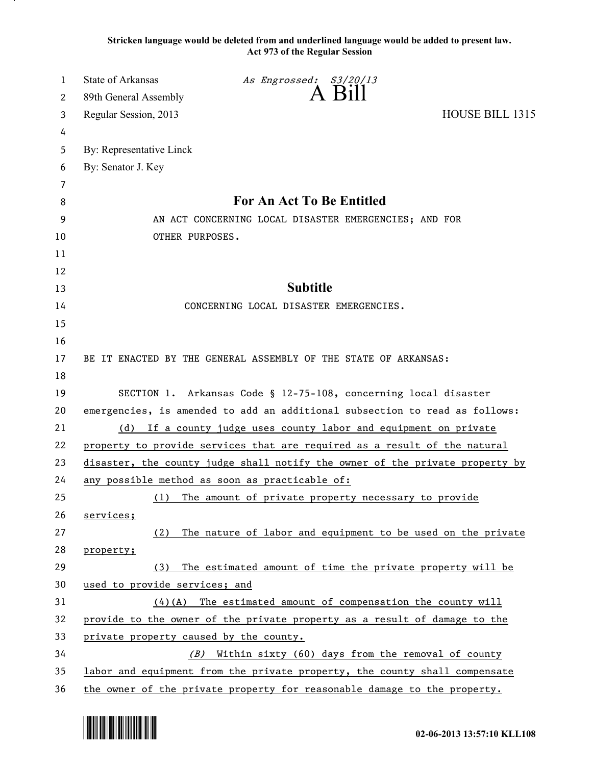**Stricken language would be deleted from and underlined language would be added to present law. Act 973 of the Regular Session**

| 1        | State of Arkansas                                                                                                                              | As Engrossed: S3/20/13<br>A Bill                                |                        |  |
|----------|------------------------------------------------------------------------------------------------------------------------------------------------|-----------------------------------------------------------------|------------------------|--|
| 2        | 89th General Assembly                                                                                                                          |                                                                 |                        |  |
| 3        | Regular Session, 2013                                                                                                                          |                                                                 | <b>HOUSE BILL 1315</b> |  |
| 4        |                                                                                                                                                |                                                                 |                        |  |
| 5        | By: Representative Linck                                                                                                                       |                                                                 |                        |  |
| 6        | By: Senator J. Key                                                                                                                             |                                                                 |                        |  |
| 7        |                                                                                                                                                |                                                                 |                        |  |
| 8        | For An Act To Be Entitled                                                                                                                      |                                                                 |                        |  |
| 9        | AN ACT CONCERNING LOCAL DISASTER EMERGENCIES; AND FOR                                                                                          |                                                                 |                        |  |
| 10       | OTHER PURPOSES.                                                                                                                                |                                                                 |                        |  |
| 11       |                                                                                                                                                |                                                                 |                        |  |
| 12       |                                                                                                                                                |                                                                 |                        |  |
| 13       |                                                                                                                                                | <b>Subtitle</b>                                                 |                        |  |
| 14       |                                                                                                                                                | CONCERNING LOCAL DISASTER EMERGENCIES.                          |                        |  |
| 15       |                                                                                                                                                |                                                                 |                        |  |
| 16       |                                                                                                                                                |                                                                 |                        |  |
| 17<br>18 |                                                                                                                                                | BE IT ENACTED BY THE GENERAL ASSEMBLY OF THE STATE OF ARKANSAS: |                        |  |
| 19       |                                                                                                                                                |                                                                 |                        |  |
| 20       | SECTION 1. Arkansas Code § 12-75-108, concerning local disaster<br>emergencies, is amended to add an additional subsection to read as follows: |                                                                 |                        |  |
| 21       | (d) If a county judge uses county labor and equipment on private                                                                               |                                                                 |                        |  |
| 22       | property to provide services that are required as a result of the natural                                                                      |                                                                 |                        |  |
| 23       | disaster, the county judge shall notify the owner of the private property by                                                                   |                                                                 |                        |  |
| 24       | any possible method as soon as practicable of:                                                                                                 |                                                                 |                        |  |
| 25       | (1)                                                                                                                                            | The amount of private property necessary to provide             |                        |  |
| 26       | services;                                                                                                                                      |                                                                 |                        |  |
| 27       | (2)                                                                                                                                            | The nature of labor and equipment to be used on the private     |                        |  |
| 28       | property;                                                                                                                                      |                                                                 |                        |  |
| 29       | (3)                                                                                                                                            | The estimated amount of time the private property will be       |                        |  |
| 30       | used to provide services; and                                                                                                                  |                                                                 |                        |  |
| 31       |                                                                                                                                                | $(4)(A)$ The estimated amount of compensation the county will   |                        |  |
| 32       | provide to the owner of the private property as a result of damage to the                                                                      |                                                                 |                        |  |
| 33       | private property caused by the county.                                                                                                         |                                                                 |                        |  |
| 34       |                                                                                                                                                | Within sixty (60) days from the removal of county<br>(B)        |                        |  |
| 35       | labor and equipment from the private property, the county shall compensate                                                                     |                                                                 |                        |  |
| 36       | the owner of the private property for reasonable damage to the property.                                                                       |                                                                 |                        |  |